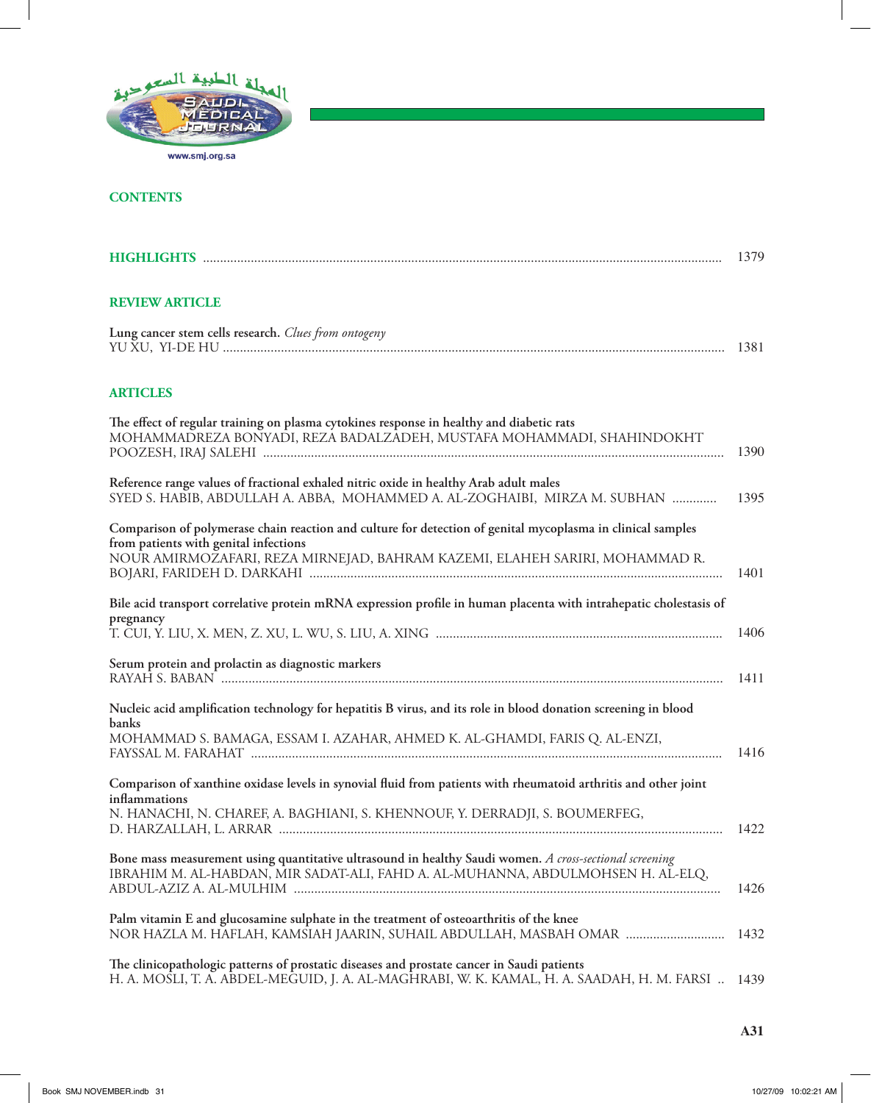

## **CONTENTS**

|                                                                                                                                                                                                                                     | 1379 |
|-------------------------------------------------------------------------------------------------------------------------------------------------------------------------------------------------------------------------------------|------|
| <b>REVIEW ARTICLE</b>                                                                                                                                                                                                               |      |
| Lung cancer stem cells research. Clues from ontogeny                                                                                                                                                                                | 1381 |
| <b>ARTICLES</b>                                                                                                                                                                                                                     |      |
| The effect of regular training on plasma cytokines response in healthy and diabetic rats<br>MOHAMMADREZA BONYADI, REZA BADALZADEH, MUSTAFA MOHAMMADI, SHAHINDOKHT                                                                   | 1390 |
| Reference range values of fractional exhaled nitric oxide in healthy Arab adult males<br>SYED S. HABIB, ABDULLAH A. ABBA, MOHAMMED A. AL-ZOGHAIBI, MIRZA M. SUBHAN                                                                  | 1395 |
| Comparison of polymerase chain reaction and culture for detection of genital mycoplasma in clinical samples<br>from patients with genital infections<br>NOUR AMIRMOZAFARI, REZA MIRNEJAD, BAHRAM KAZEMI, ELAHEH SARIRI, MOHAMMAD R. | 1401 |
| Bile acid transport correlative protein mRNA expression profile in human placenta with intrahepatic cholestasis of<br>pregnancy                                                                                                     | 1406 |
| Serum protein and prolactin as diagnostic markers                                                                                                                                                                                   | 1411 |
| Nucleic acid amplification technology for hepatitis B virus, and its role in blood donation screening in blood<br>banks<br>MOHAMMAD S. BAMAGA, ESSAM I. AZAHAR, AHMED K. AL-GHAMDI, FARIS Q. AL-ENZI,                               | 1416 |
| Comparison of xanthine oxidase levels in synovial fluid from patients with rheumatoid arthritis and other joint<br>inflammations<br>N. HANACHI, N. CHAREF, A. BAGHIANI, S. KHENNOUF, Y. DERRADJI, S. BOUMERFEG,                     | 1422 |
| Bone mass measurement using quantitative ultrasound in healthy Saudi women. A cross-sectional screening<br>IBRAHIM M. AL-HABDAN, MIR SADAT-ALI, FAHD A. AL-MUHANNA, ABDULMOHSEN H. AL-ELQ,                                          | 1426 |
| Palm vitamin E and glucosamine sulphate in the treatment of osteoarthritis of the knee<br>NOR HAZLA M. HAFLAH, KAMSIAH JAARIN, SUHAIL ABDULLAH, MASBAH OMAR                                                                         | 1432 |
| The clinicopathologic patterns of prostatic diseases and prostate cancer in Saudi patients<br>H. A. MOSLI, T. A. ABDEL-MEGUID, J. A. AL-MAGHRABI, W. K. KAMAL, H. A. SAADAH, H. M. FARSI                                            | 1439 |

**A31**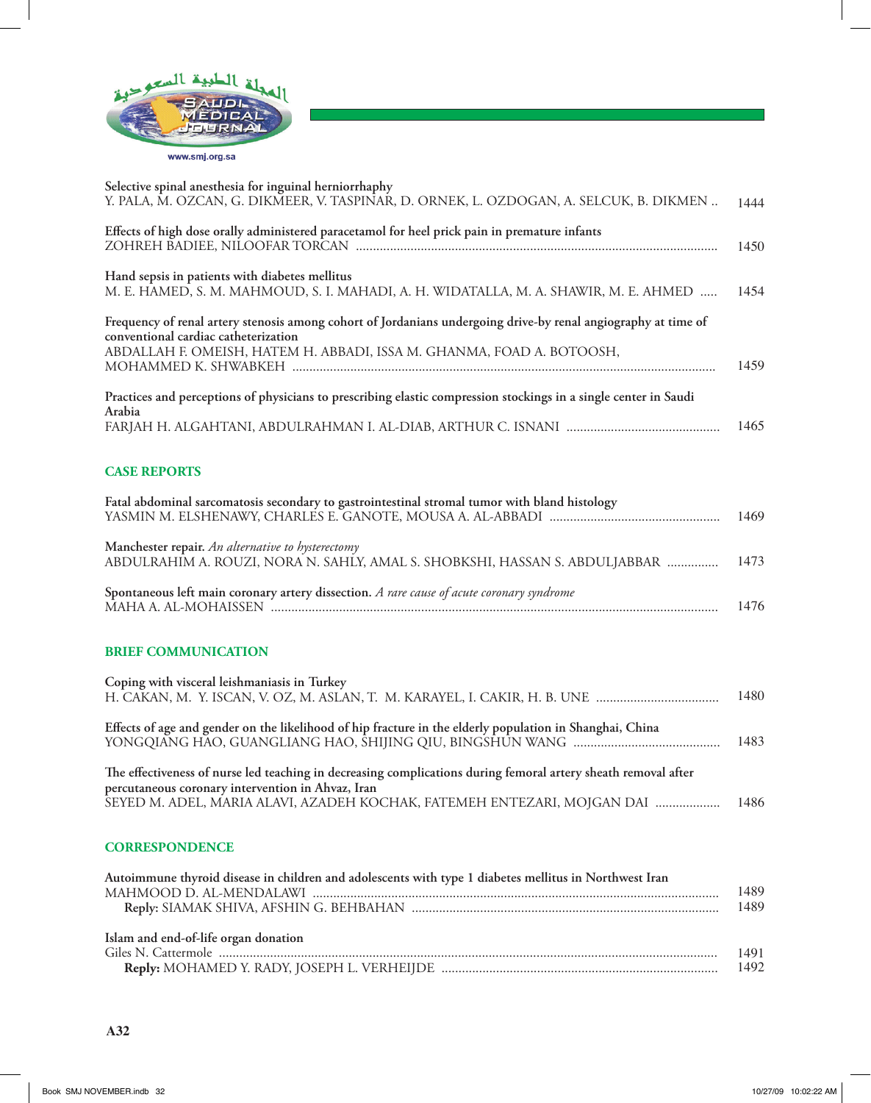

۰

| Selective spinal anesthesia for inguinal herniorrhaphy<br>Y. PALA, M. OZCAN, G. DIKMEER, V. TASPINAR, D. ORNEK, L. OZDOGAN, A. SELCUK, B. DIKMEN                                                                                               | 1444  |
|------------------------------------------------------------------------------------------------------------------------------------------------------------------------------------------------------------------------------------------------|-------|
| Effects of high dose orally administered paracetamol for heel prick pain in premature infants                                                                                                                                                  | 1450  |
| Hand sepsis in patients with diabetes mellitus<br>M. E. HAMED, S. M. MAHMOUD, S. I. MAHADI, A. H. WIDATALLA, M. A. SHAWIR, M. E. AHMED                                                                                                         | 1454  |
| Frequency of renal artery stenosis among cohort of Jordanians undergoing drive-by renal angiography at time of<br>conventional cardiac catheterization                                                                                         |       |
| ABDALLAH F. OMEISH, HATEM H. ABBADI, ISSA M. GHANMA, FOAD A. BOTOOSH,                                                                                                                                                                          | 1459  |
| Practices and perceptions of physicians to prescribing elastic compression stockings in a single center in Saudi<br>Arabia                                                                                                                     |       |
|                                                                                                                                                                                                                                                | 1465  |
| <b>CASE REPORTS</b>                                                                                                                                                                                                                            |       |
| Fatal abdominal sarcomatosis secondary to gastrointestinal stromal tumor with bland histology                                                                                                                                                  | 1469  |
| Manchester repair. An alternative to hysterectomy<br>ABDULRAHIM A. ROUZI, NORA N. SAHLY, AMAL S. SHOBKSHI, HASSAN S. ABDULJABBAR                                                                                                               | 1473  |
| Spontaneous left main coronary artery dissection. A rare cause of acute coronary syndrome                                                                                                                                                      | 1476  |
| <b>BRIEF COMMUNICATION</b>                                                                                                                                                                                                                     |       |
| Coping with visceral leishmaniasis in Turkey                                                                                                                                                                                                   | 1480  |
| Effects of age and gender on the likelihood of hip fracture in the elderly population in Shanghai, China                                                                                                                                       | 1483  |
| The effectiveness of nurse led teaching in decreasing complications during femoral artery sheath removal after<br>percutaneous coronary intervention in Ahvaz, Iran<br>SEYED M. ADEL, MARIA ALAVI, AZADEH KOCHAK, FATEMEH ENTEZARI, MOJGAN DAI | 1486  |
| <b>CORRESPONDENCE</b>                                                                                                                                                                                                                          |       |
| Autoimmune thyroid disease in children and adolescents with type 1 diabetes mellitus in Northwest Iran                                                                                                                                         | 4.400 |

|                                      | 1489 |
|--------------------------------------|------|
|                                      | 1489 |
|                                      |      |
| Islam and end-of-life organ donation |      |
|                                      | 1491 |
|                                      | 1492 |